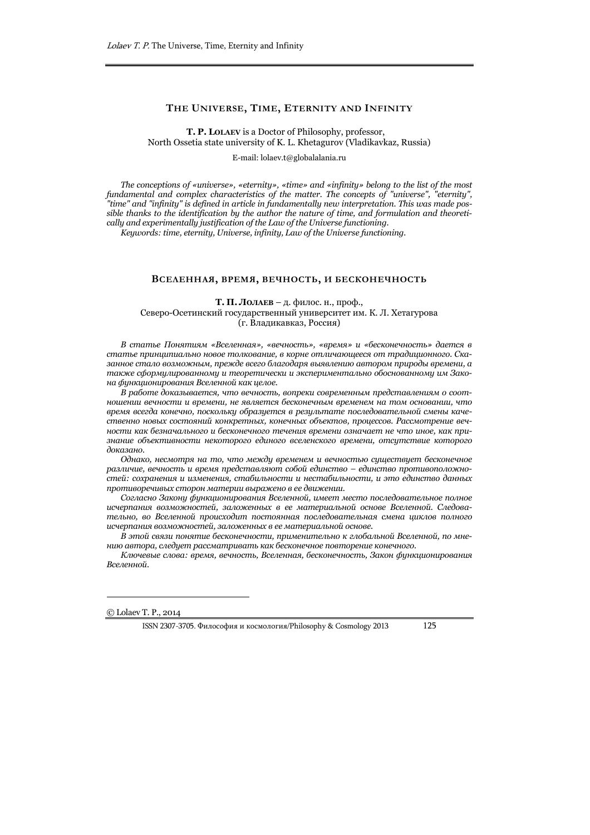## **THE UNIVERSE, TIME, ETERNITY AND INFINITY**

**T. P. LOLAEV** is a Doctor of Philosophy, professor, North Ossetia state university of K. L. Khetagurov (Vladikavkaz, Russia)

E-mail: lolaev.t@globalalania.ru

*The conceptions of «universe», «eternity», «time» and «infinity» belong to the list of the most fundamental and complex characteristics of the matter. The concepts of "universe", "eternity", "time" and "infinity" is defined in article in fundamentally new interpretation. This was made possible thanks to the identification by the author the nature of time, and formulation and theoretically and experimentally justification of the Law of the Universe functioning. Keywords: time, eternity, Universe, infinity, Law of the Universe functioning.* 

## **ВСЕЛЕННАЯ, ВРЕМЯ, ВЕЧНОСТЬ, И БЕСКОНЕЧНОСТЬ**

**Т. П. ЛОЛАЕВ** – д. филос. н., проф., Северо-Осетинский государственный университет им. К. Л. Хетагурова (г. Владикавказ, Россия)

*В статье Понятиям «Вселенная», «вечность», «время» и «бесконечность» дается в статье принципиально новое толкование, в корне отличающееся от традиционного. Сказанное стало возможным, прежде всего благодаря выявлению автором природы времени, а также сформулированному и теоретически и экспериментально обоснованному им Закона функционирования Вселенной как целое.* 

*В работе доказывается, что вечность, вопреки современным представлениям о соотношении вечности и времени, не является бесконечным временем на том основании, что время всегда конечно, поскольку образуется в результате последовательной смены качественно новых состояний конкретных, конечных объектов, процессов. Рассмотрение вечности как безначального и бесконечного течения времени означает не что иное, как признание объективности некоторого единого вселенского времени, отсутствие которого доказано.* 

*Однако, несмотря на то, что между временем и вечностью существует бесконечное различие, вечность и время представляют собой единство – единство противоположностей: сохранения и изменения, стабильности и нестабильности, и это единство данных противоречивых сторон материи выражено в ее движении.* 

*Согласно Закону функционирования Вселенной, имеет место последовательное полное исчерпания возможностей, заложенных в ее материальной основе Вселенной. Следовательно, во Вселенной происходит постоянная последовательная смена циклов полного исчерпания возможностей, заложенных в ее материальной основе.* 

*В этой связи понятие бесконечности, применительно к глобальной Вселенной, по мнению автора, следует рассматривать как бесконечное повторение конечного.* 

*Ключевые слова: время, вечность, Вселенная, бесконечность, Закон функционирования Вселенной.* 

© Lolaev T. P., 2014

-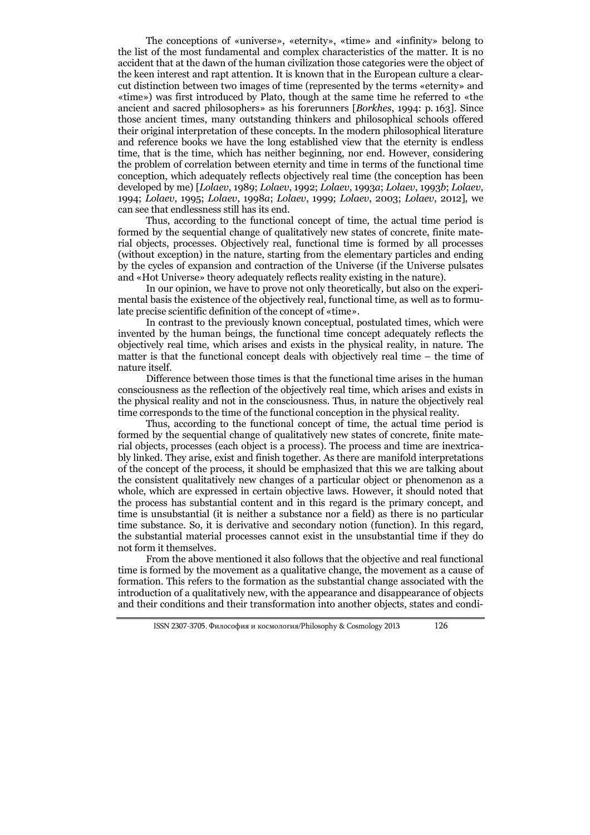The conceptions of «universe», «eternity», «time» and «infinity» belong to the list of the most fundamental and complex characteristics of the matter. It is no accident that at the dawn of the human civilization those categories were the object of the keen interest and rapt attention. It is known that in the European culture a clearcut distinction between two images of time (represented by the terms «eternity» and «time») was first introduced by Plato, though at the same time he referred to «the ancient and sacred philosophers» as his forerunners [*Borkhes*, 1994: p. 163]. Since those ancient times, many outstanding thinkers and philosophical schools offered their original interpretation of these concepts. In the modern philosophical literature and reference books we have the long established view that the eternity is endless time, that is the time, which has neither beginning, nor end. However, considering the problem of correlation between eternity and time in terms of the functional time conception, which adequately reflects objectively real time (the conception has been developed by me) [*Lolaev*, 1989; *Lolaev*, 1992; *Lolaev*, 1993*a*; *Lolaev*, 1993*b*; *Lolaev*, 1994; *Lolaev*, 1995; *Lolaev*, 1998*a*; *Lolaev*, 1999; *Lolaev*, 2003; *Lolaev*, 2012], we can see that endlessness still has its end.

Thus, according to the functional concept of time, the actual time period is formed by the sequential change of qualitatively new states of concrete, finite material objects, processes. Objectively real, functional time is formed by all processes (without exception) in the nature, starting from the elementary particles and ending by the cycles of expansion and contraction of the Universe (if the Universe pulsates and «Hot Universe» theory adequately reflects reality existing in the nature).

In our opinion, we have to prove not only theoretically, but also on the experimental basis the existence of the objectively real, functional time, as well as to formulate precise scientific definition of the concept of «time».

In contrast to the previously known conceptual, postulated times, which were invented by the human beings, the functional time concept adequately reflects the objectively real time, which arises and exists in the physical reality, in nature. The matter is that the functional concept deals with objectively real time – the time of nature itself.

Difference between those times is that the functional time arises in the human consciousness as the reflection of the objectively real time, which arises and exists in the physical reality and not in the consciousness. Thus, in nature the objectively real time corresponds to the time of the functional conception in the physical reality.

Thus, according to the functional concept of time, the actual time period is formed by the sequential change of qualitatively new states of concrete, finite material objects, processes (each object is a process). The process and time are inextricably linked. They arise, exist and finish together. As there are manifold interpretations of the concept of the process, it should be emphasized that this we are talking about the consistent qualitatively new changes of a particular object or phenomenon as a whole, which are expressed in certain objective laws. However, it should noted that the process has substantial content and in this regard is the primary concept, and time is unsubstantial (it is neither a substance nor a field) as there is no particular time substance. So, it is derivative and secondary notion (function). In this regard, the substantial material processes cannot exist in the unsubstantial time if they do not form it themselves.

From the above mentioned it also follows that the objective and real functional time is formed by the movement as a qualitative change, the movement as a cause of formation. This refers to the formation as the substantial change associated with the introduction of a qualitatively new, with the appearance and disappearance of objects and their conditions and their transformation into another objects, states and condi-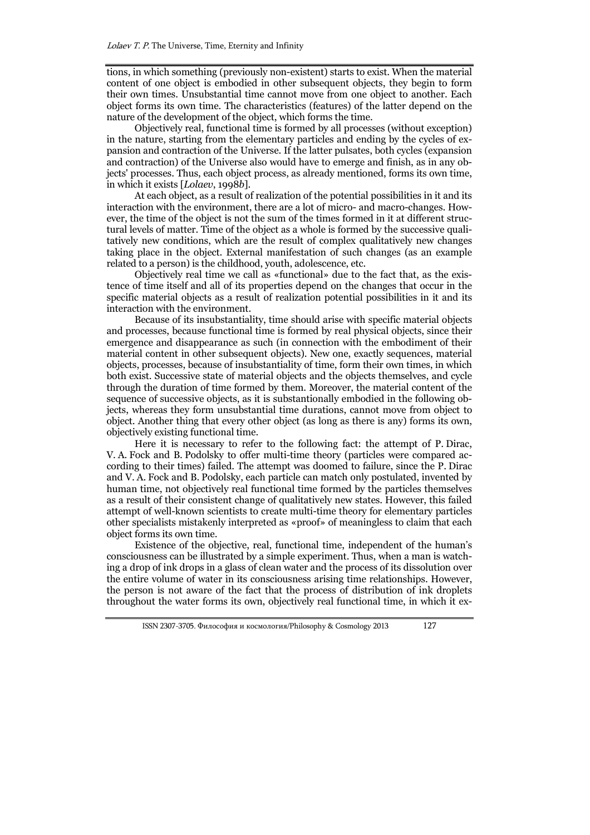tions, in which something (previously non-existent) starts to exist. When the material content of one object is embodied in other subsequent objects, they begin to form their own times. Unsubstantial time cannot move from one object to another. Each object forms its own time. The characteristics (features) of the latter depend on the nature of the development of the object, which forms the time.

Objectively real, functional time is formed by all processes (without exception) in the nature, starting from the elementary particles and ending by the cycles of expansion and contraction of the Universe. If the latter pulsates, both cycles (expansion and contraction) of the Universe also would have to emerge and finish, as in any objects' processes. Thus, each object process, as already mentioned, forms its own time, in which it exists [*Lolaev*, 1998*b*].

At each object, as a result of realization of the potential possibilities in it and its interaction with the environment, there are a lot of micro- and macro-changes. However, the time of the object is not the sum of the times formed in it at different structural levels of matter. Time of the object as a whole is formed by the successive qualitatively new conditions, which are the result of complex qualitatively new changes taking place in the object. External manifestation of such changes (as an example related to a person) is the childhood, youth, adolescence, etc.

Objectively real time we call as «functional» due to the fact that, as the existence of time itself and all of its properties depend on the changes that occur in the specific material objects as a result of realization potential possibilities in it and its interaction with the environment.

Because of its insubstantiality, time should arise with specific material objects and processes, because functional time is formed by real physical objects, since their emergence and disappearance as such (in connection with the embodiment of their material content in other subsequent objects). New one, exactly sequences, material objects, processes, because of insubstantiality of time, form their own times, in which both exist. Successive state of material objects and the objects themselves, and cycle through the duration of time formed by them. Moreover, the material content of the sequence of successive objects, as it is substantionally embodied in the following objects, whereas they form unsubstantial time durations, cannot move from object to object. Another thing that every other object (as long as there is any) forms its own, objectively existing functional time.

Here it is necessary to refer to the following fact: the attempt of P. Dirac, V. A. Fock and B. Podolsky to offer multi-time theory (particles were compared according to their times) failed. The attempt was doomed to failure, since the P. Dirac and V. A. Fock and B. Podolsky, each particle can match only postulated, invented by human time, not objectively real functional time formed by the particles themselves as a result of their consistent change of qualitatively new states. However, this failed attempt of well-known scientists to create multi-time theory for elementary particles other specialists mistakenly interpreted as «proof» of meaningless to claim that each object forms its own time.

Existence of the objective, real, functional time, independent of the human's consciousness can be illustrated by a simple experiment. Thus, when a man is watching a drop of ink drops in a glass of clean water and the process of its dissolution over the entire volume of water in its consciousness arising time relationships. However, the person is not aware of the fact that the process of distribution of ink droplets throughout the water forms its own, objectively real functional time, in which it ex-

ISSN 2307-3705. Философия и космология/Philosophy & Cosmology 2013 127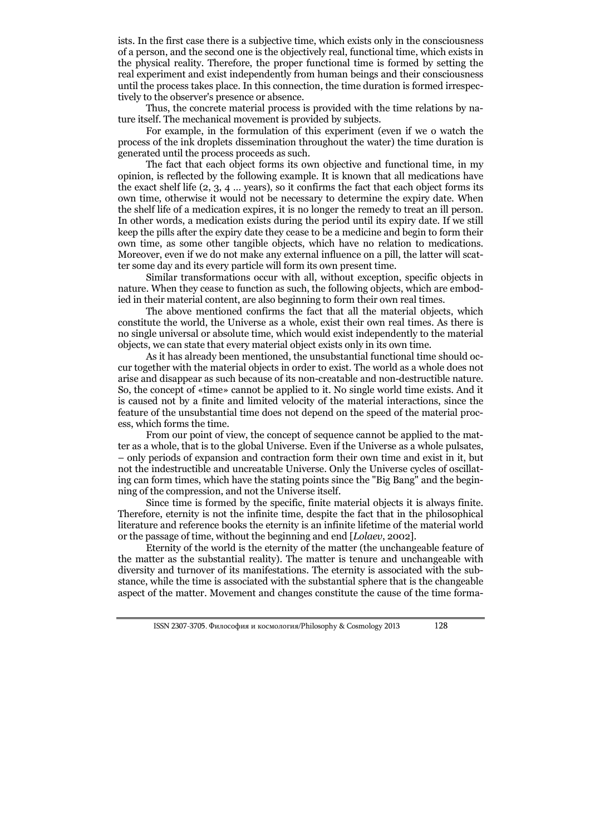ists. In the first case there is a subjective time, which exists only in the consciousness of a person, and the second one is the objectively real, functional time, which exists in the physical reality. Therefore, the proper functional time is formed by setting the real experiment and exist independently from human beings and their consciousness until the process takes place. In this connection, the time duration is formed irrespectively to the observer's presence or absence.

Thus, the concrete material process is provided with the time relations by nature itself. The mechanical movement is provided by subjects.

For example, in the formulation of this experiment (even if we o watch the process of the ink droplets dissemination throughout the water) the time duration is generated until the process proceeds as such.

The fact that each object forms its own objective and functional time, in my opinion, is reflected by the following example. It is known that all medications have the exact shelf life (2, 3, 4 … years), so it confirms the fact that each object forms its own time, otherwise it would not be necessary to determine the expiry date. When the shelf life of a medication expires, it is no longer the remedy to treat an ill person. In other words, a medication exists during the period until its expiry date. If we still keep the pills after the expiry date they cease to be a medicine and begin to form their own time, as some other tangible objects, which have no relation to medications. Moreover, even if we do not make any external influence on a pill, the latter will scatter some day and its every particle will form its own present time.

Similar transformations occur with all, without exception, specific objects in nature. When they cease to function as such, the following objects, which are embodied in their material content, are also beginning to form their own real times.

The above mentioned confirms the fact that all the material objects, which constitute the world, the Universe as a whole, exist their own real times. As there is no single universal or absolute time, which would exist independently to the material objects, we can state that every material object exists only in its own time.

As it has already been mentioned, the unsubstantial functional time should occur together with the material objects in order to exist. The world as a whole does not arise and disappear as such because of its non-creatable and non-destructible nature. So, the concept of «time» cannot be applied to it. No single world time exists. And it is caused not by a finite and limited velocity of the material interactions, since the feature of the unsubstantial time does not depend on the speed of the material process, which forms the time.

From our point of view, the concept of sequence cannot be applied to the matter as a whole, that is to the global Universe. Even if the Universe as a whole pulsates, – only periods of expansion and contraction form their own time and exist in it, but not the indestructible and uncreatable Universe. Only the Universe cycles of oscillating can form times, which have the stating points since the "Big Bang" and the beginning of the compression, and not the Universe itself.

Since time is formed by the specific, finite material objects it is always finite. Therefore, eternity is not the infinite time, despite the fact that in the philosophical literature and reference books the eternity is an infinite lifetime of the material world or the passage of time, without the beginning and end [*Lolaev*, 2002].

Eternity of the world is the eternity of the matter (the unchangeable feature of the matter as the substantial reality). The matter is tenure and unchangeable with diversity and turnover of its manifestations. The eternity is associated with the substance, while the time is associated with the substantial sphere that is the changeable aspect of the matter. Movement and changes constitute the cause of the time forma-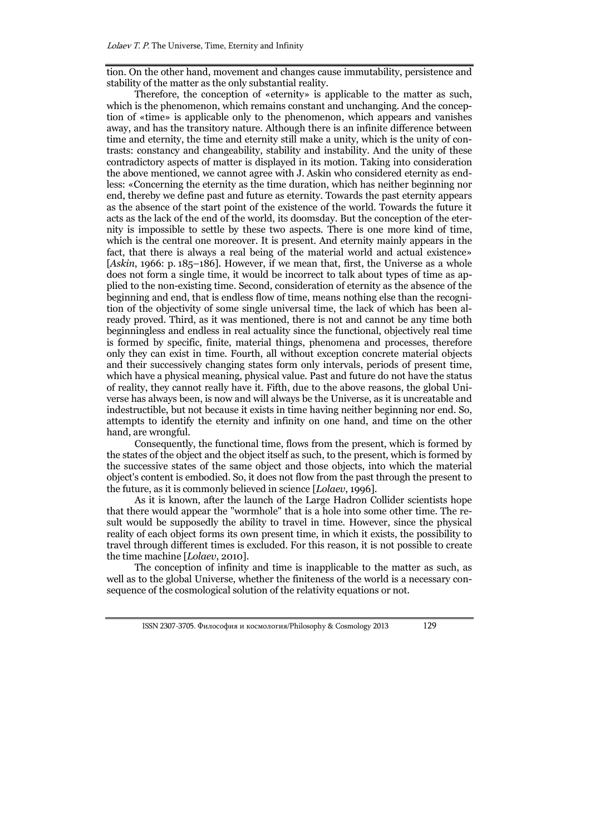tion. On the other hand, movement and changes cause immutability, persistence and stability of the matter as the only substantial reality.

Therefore, the conception of «eternity» is applicable to the matter as such, which is the phenomenon, which remains constant and unchanging. And the conception of «time» is applicable only to the phenomenon, which appears and vanishes away, and has the transitory nature. Although there is an infinite difference between time and eternity, the time and eternity still make a unity, which is the unity of contrasts: constancy and changeability, stability and instability. And the unity of these contradictory aspects of matter is displayed in its motion. Taking into consideration the above mentioned, we cannot agree with J. Askin who considered eternity as endless: «Concerning the eternity as the time duration, which has neither beginning nor end, thereby we define past and future as eternity. Towards the past eternity appears as the absence of the start point of the existence of the world. Towards the future it acts as the lack of the end of the world, its doomsday. But the conception of the eternity is impossible to settle by these two aspects. There is one more kind of time, which is the central one moreover. It is present. And eternity mainly appears in the fact, that there is always a real being of the material world and actual existence» [*Askin*, 1966: p. 185–186]. However, if we mean that, first, the Universe as a whole does not form a single time, it would be incorrect to talk about types of time as applied to the non-existing time. Second, consideration of eternity as the absence of the beginning and end, that is endless flow of time, means nothing else than the recognition of the objectivity of some single universal time, the lack of which has been already proved. Third, as it was mentioned, there is not and cannot be any time both beginningless and endless in real actuality since the functional, objectively real time is formed by specific, finite, material things, phenomena and processes, therefore only they can exist in time. Fourth, all without exception concrete material objects and their successively changing states form only intervals, periods of present time, which have a physical meaning, physical value. Past and future do not have the status of reality, they cannot really have it. Fifth, due to the above reasons, the global Universe has always been, is now and will always be the Universe, as it is uncreatable and indestructible, but not because it exists in time having neither beginning nor end. So, attempts to identify the eternity and infinity on one hand, and time on the other hand, are wrongful.

Consequently, the functional time, flows from the present, which is formed by the states of the object and the object itself as such, to the present, which is formed by the successive states of the same object and those objects, into which the material object's content is embodied. So, it does not flow from the past through the present to the future, as it is commonly believed in science [*Lolaev*, 1996].

As it is known, after the launch of the Large Hadron Collider scientists hope that there would appear the "wormhole" that is a hole into some other time. The result would be supposedly the ability to travel in time. However, since the physical reality of each object forms its own present time, in which it exists, the possibility to travel through different times is excluded. For this reason, it is not possible to create the time machine [*Lolaev*, 2010].

The conception of infinity and time is inapplicable to the matter as such, as well as to the global Universe, whether the finiteness of the world is a necessary consequence of the cosmological solution of the relativity equations or not.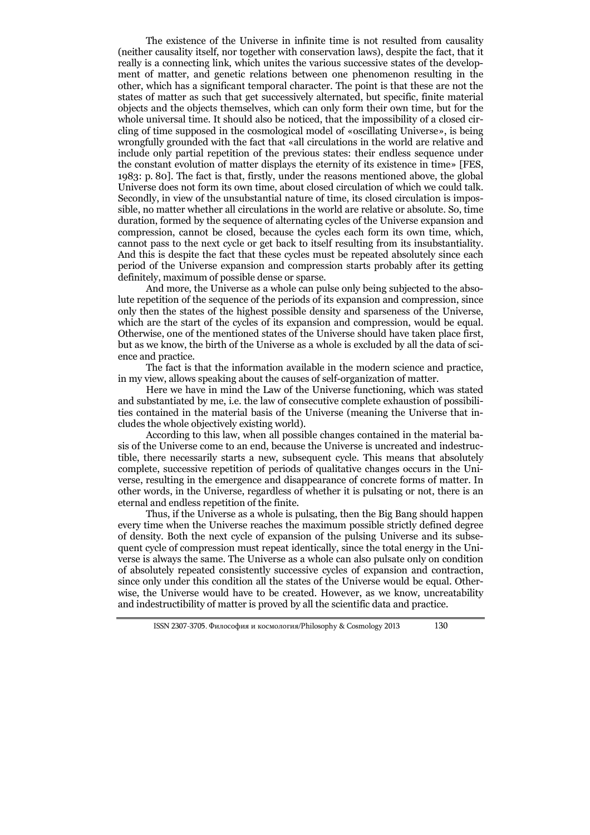The existence of the Universe in infinite time is not resulted from causality (neither causality itself, nor together with conservation laws), despite the fact, that it really is a connecting link, which unites the various successive states of the development of matter, and genetic relations between one phenomenon resulting in the other, which has a significant temporal character. The point is that these are not the states of matter as such that get successively alternated, but specific, finite material objects and the objects themselves, which can only form their own time, but for the whole universal time. It should also be noticed, that the impossibility of a closed circling of time supposed in the cosmological model of «oscillating Universe», is being wrongfully grounded with the fact that «all circulations in the world are relative and include only partial repetition of the previous states: their endless sequence under the constant evolution of matter displays the eternity of its existence in time» [FES, 1983: p. 80]. The fact is that, firstly, under the reasons mentioned above, the global Universe does not form its own time, about closed circulation of which we could talk. Secondly, in view of the unsubstantial nature of time, its closed circulation is impossible, no matter whether all circulations in the world are relative or absolute. So, time duration, formed by the sequence of alternating cycles of the Universe expansion and compression, cannot be closed, because the cycles each form its own time, which, cannot pass to the next cycle or get back to itself resulting from its insubstantiality. And this is despite the fact that these cycles must be repeated absolutely since each period of the Universe expansion and compression starts probably after its getting definitely, maximum of possible dense or sparse.

And more, the Universe as a whole can pulse only being subjected to the absolute repetition of the sequence of the periods of its expansion and compression, since only then the states of the highest possible density and sparseness of the Universe, which are the start of the cycles of its expansion and compression, would be equal. Otherwise, one of the mentioned states of the Universe should have taken place first, but as we know, the birth of the Universe as a whole is excluded by all the data of science and practice.

The fact is that the information available in the modern science and practice, in my view, allows speaking about the causes of self-organization of matter.

Here we have in mind the Law of the Universe functioning, which was stated and substantiated by me, i.e. the law of consecutive complete exhaustion of possibilities contained in the material basis of the Universe (meaning the Universe that includes the whole objectively existing world).

According to this law, when all possible changes contained in the material basis of the Universe come to an end, because the Universe is uncreated and indestructible, there necessarily starts a new, subsequent cycle. This means that absolutely complete, successive repetition of periods of qualitative changes occurs in the Universe, resulting in the emergence and disappearance of concrete forms of matter. In other words, in the Universe, regardless of whether it is pulsating or not, there is an eternal and endless repetition of the finite.

Thus, if the Universe as a whole is pulsating, then the Big Bang should happen every time when the Universe reaches the maximum possible strictly defined degree of density. Both the next cycle of expansion of the pulsing Universe and its subsequent cycle of compression must repeat identically, since the total energy in the Universe is always the same. The Universe as a whole can also pulsate only on condition of absolutely repeated consistently successive cycles of expansion and contraction, since only under this condition all the states of the Universe would be equal. Otherwise, the Universe would have to be created. However, as we know, uncreatability and indestructibility of matter is proved by all the scientific data and practice.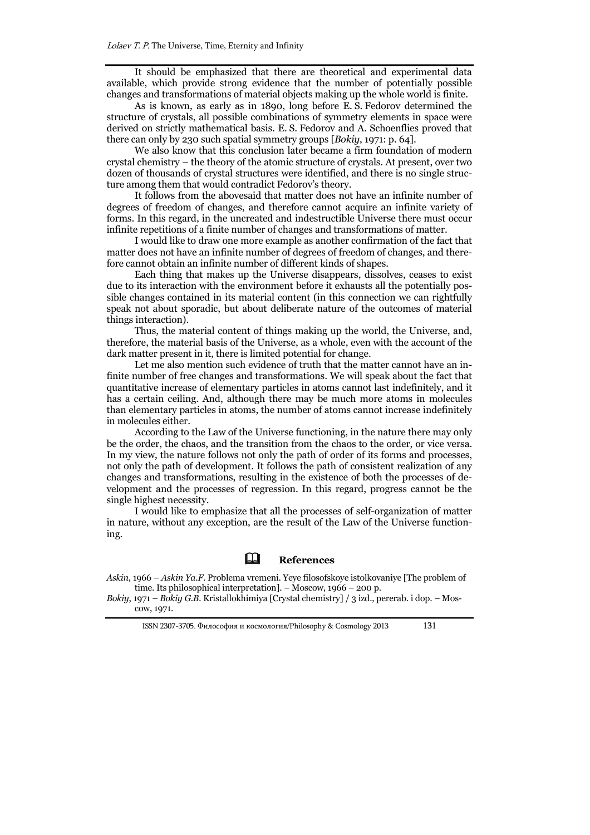It should be emphasized that there are theoretical and experimental data available, which provide strong evidence that the number of potentially possible changes and transformations of material objects making up the whole world is finite.

As is known, as early as in 1890, long before E. S. Fedorov determined the structure of crystals, all possible combinations of symmetry elements in space were derived on strictly mathematical basis. E. S. Fedorov and A. Schoenflies proved that there can only by 230 such spatial symmetry groups [*Bokiy*, 1971: p. 64].

We also know that this conclusion later became a firm foundation of modern crystal chemistry – the theory of the atomic structure of crystals. At present, over two dozen of thousands of crystal structures were identified, and there is no single structure among them that would contradict Fedorov's theory.

It follows from the abovesaid that matter does not have an infinite number of degrees of freedom of changes, and therefore cannot acquire an infinite variety of forms. In this regard, in the uncreated and indestructible Universe there must occur infinite repetitions of a finite number of changes and transformations of matter.

I would like to draw one more example as another confirmation of the fact that matter does not have an infinite number of degrees of freedom of changes, and therefore cannot obtain an infinite number of different kinds of shapes.

Each thing that makes up the Universe disappears, dissolves, ceases to exist due to its interaction with the environment before it exhausts all the potentially possible changes contained in its material content (in this connection we can rightfully speak not about sporadic, but about deliberate nature of the outcomes of material things interaction).

Thus, the material content of things making up the world, the Universe, and, therefore, the material basis of the Universe, as a whole, even with the account of the dark matter present in it, there is limited potential for change.

Let me also mention such evidence of truth that the matter cannot have an infinite number of free changes and transformations. We will speak about the fact that quantitative increase of elementary particles in atoms cannot last indefinitely, and it has a certain ceiling. And, although there may be much more atoms in molecules than elementary particles in atoms, the number of atoms cannot increase indefinitely in molecules either.

According to the Law of the Universe functioning, in the nature there may only be the order, the chaos, and the transition from the chaos to the order, or vice versa. In my view, the nature follows not only the path of order of its forms and processes, not only the path of development. It follows the path of consistent realization of any changes and transformations, resulting in the existence of both the processes of development and the processes of regression. In this regard, progress cannot be the single highest necessity.

I would like to emphasize that all the processes of self-organization of matter in nature, without any exception, are the result of the Law of the Universe functioning.

## **References**

*Askin*, 1966 – *Askin Ya.F.* Problema vremeni. Yeye filosofskoye istolkovaniye [The problem of time. Its philosophical interpretation]. – Moscow, 1966 – 200 p.

*Bokiy*, 1971 – *Bokiy G.B.* Kristallokhimiya [Crystal chemistry] / 3 izd., pererab. i dop. – Moscow, 1971.